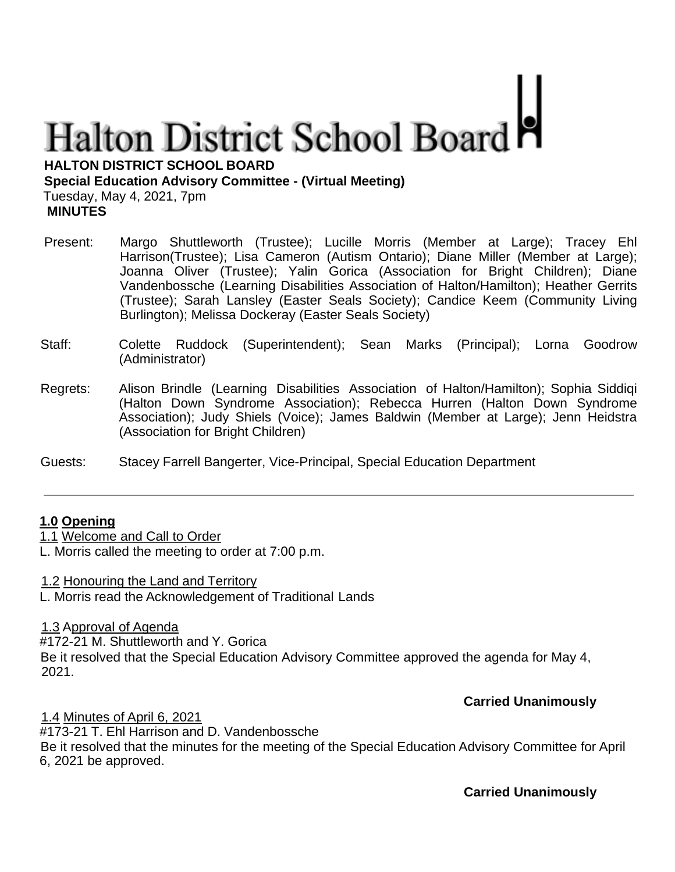# **Halton District School Board**

**HALTON DISTRICT SCHOOL BOARD**

### **Special Education Advisory Committee - (Virtual Meeting)**

Tuesday, May 4, 2021, 7pm **MINUTES**

- Present: Margo Shuttleworth (Trustee); Lucille Morris (Member at Large); Tracey Ehl Harrison(Trustee); Lisa Cameron (Autism Ontario); Diane Miller (Member at Large); Joanna Oliver (Trustee); Yalin Gorica (Association for Bright Children); Diane Vandenbossche (Learning Disabilities Association of Halton/Hamilton); Heather Gerrits (Trustee); Sarah Lansley (Easter Seals Society); Candice Keem (Community Living Burlington); Melissa Dockeray (Easter Seals Society)
- Staff: Colette Ruddock (Superintendent); Sean Marks (Principal); Lorna Goodrow (Administrator)
- Regrets: Alison Brindle (Learning Disabilities Association of Halton/Hamilton); Sophia Siddiqi (Halton Down Syndrome Association); Rebecca Hurren (Halton Down Syndrome Association); Judy Shiels (Voice); James Baldwin (Member at Large); Jenn Heidstra (Association for Bright Children)
- Guests: Stacey Farrell Bangerter, Vice-Principal, Special Education Department

## **1.0 Opening**

1.1 Welcome and Call to Order

L. Morris called the meeting to order at 7:00 p.m.

1.2 Honouring the Land and Territory

L. Morris read the Acknowledgement of Traditional Lands

## 1.3 Approval of Agenda

#172-21 M. Shuttleworth and Y. Gorica Be it resolved that the Special Education Advisory Committee approved the agenda for May 4, 2021.

# **Carried Unanimously**

## 1.4 Minutes of April 6, 2021

#173-21 T. Ehl Harrison and D. Vandenbossche Be it resolved that the minutes for the meeting of the Special Education Advisory Committee for April 6, 2021 be approved.

**Carried Unanimously**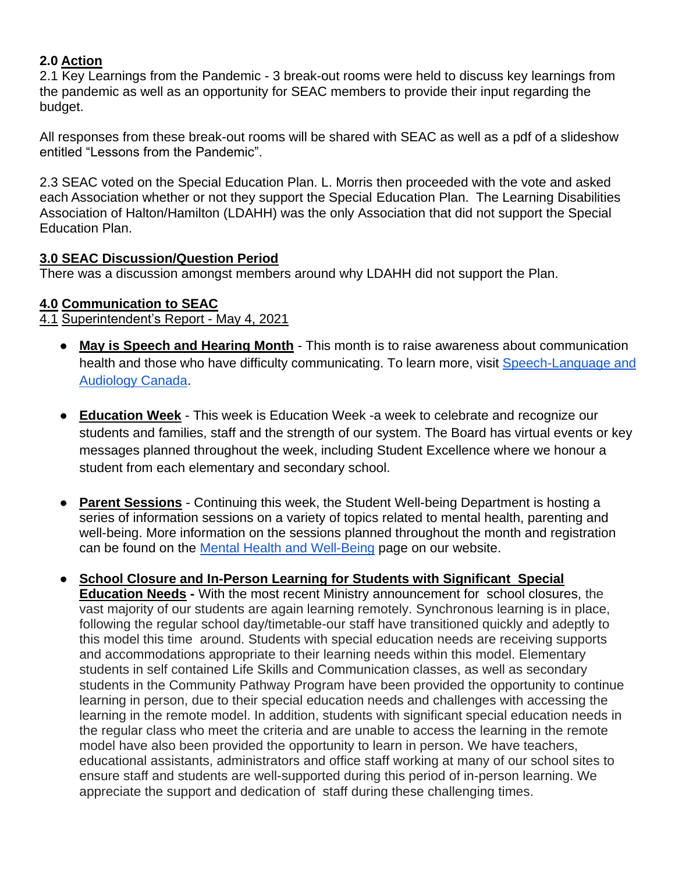## **2.0 Action**

2.1 Key Learnings from the Pandemic - 3 break-out rooms were held to discuss key learnings from the pandemic as well as an opportunity for SEAC members to provide their input regarding the budget.

All responses from these break-out rooms will be shared with SEAC as well as a pdf of a slideshow entitled "Lessons from the Pandemic".

2.3 SEAC voted on the Special Education Plan. L. Morris then proceeded with the vote and asked each Association whether or not they support the Special Education Plan. The Learning Disabilities Association of Halton/Hamilton (LDAHH) was the only Association that did not support the Special Education Plan.

### **3.0 SEAC Discussion/Question Period**

There was a discussion amongst members around why LDAHH did not support the Plan.

### **4.0 Communication to SEAC**

4.1 Superintendent's Report - May 4, 2021

- **May is Speech and Hearing Month** This month is to raise awareness about communication health and those who have difficulty communicating. To learn more, visit [Speech-Language](https://speechandhearing.ca/) and [Audiology Canada.](https://speechandhearing.ca/)
- **Education Week** This week is Education Week -a week to celebrate and recognize our students and families, staff and the strength of our system. The Board has virtual events or key messages planned throughout the week, including Student Excellence where we honour a student from each elementary and secondary school.
- **Parent Sessions** Continuing this week, the Student Well-being Department is hosting a series of information sessions on a variety of topics related to mental health, parenting and well-being. More information on the sessions planned throughout the month and registration can be found on the [Mental Health and Well-Being](https://hdsb.ca/students/Pages/Health%20and%20Well-Being/Mental%20Health%20%26%20Well-Being/Mental-Health-Well-Being-Information-Sessions.aspx) page on our website.
- **School Closure and In-Person Learning for Students with Significant Special Education Needs -** With the most recent Ministry announcement for school closures, the vast majority of our students are again learning remotely. Synchronous learning is in place, following the regular school day/timetable-our staff have transitioned quickly and adeptly to this model this time around. Students with special education needs are receiving supports and accommodations appropriate to their learning needs within this model. Elementary students in self contained Life Skills and Communication classes, as well as secondary students in the Community Pathway Program have been provided the opportunity to continue learning in person, due to their special education needs and challenges with accessing the learning in the remote model. In addition, students with significant special education needs in the regular class who meet the criteria and are unable to access the learning in the remote model have also been provided the opportunity to learn in person. We have teachers, educational assistants, administrators and office staff working at many of our school sites to ensure staff and students are well-supported during this period of in-person learning. We appreciate the support and dedication of staff during these challenging times.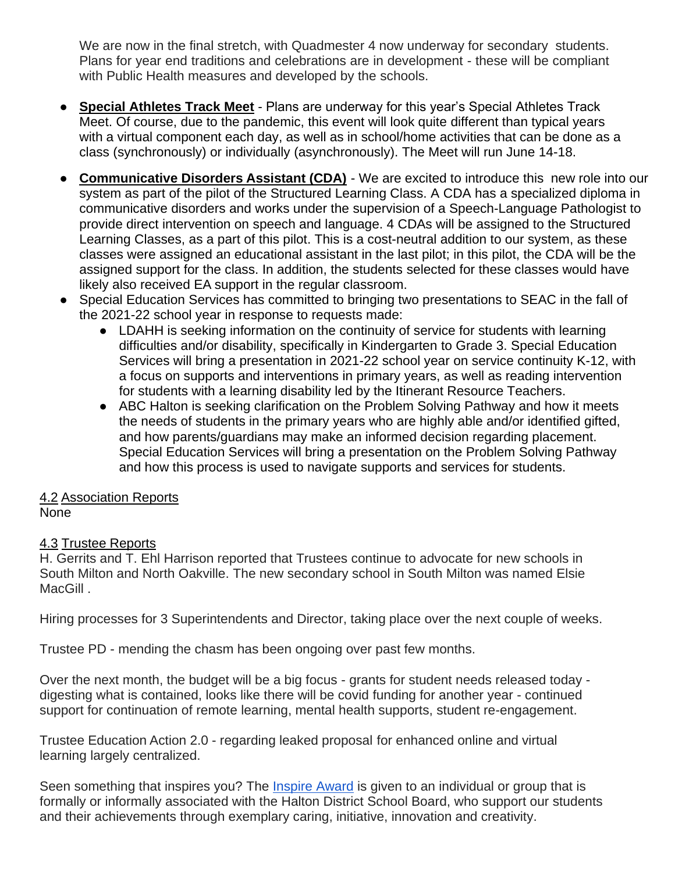We are now in the final stretch, with Quadmester 4 now underway for secondary students. Plans for year end traditions and celebrations are in development - these will be compliant with Public Health measures and developed by the schools.

- **Special Athletes Track Meet** Plans are underway for this year's Special Athletes Track Meet. Of course, due to the pandemic, this event will look quite different than typical years with a virtual component each day, as well as in school/home activities that can be done as a class (synchronously) or individually (asynchronously). The Meet will run June 14-18.
- **Communicative Disorders Assistant (CDA)** We are excited to introduce this new role into our system as part of the pilot of the Structured Learning Class. A CDA has a specialized diploma in communicative disorders and works under the supervision of a Speech-Language Pathologist to provide direct intervention on speech and language. 4 CDAs will be assigned to the Structured Learning Classes, as a part of this pilot. This is a cost-neutral addition to our system, as these classes were assigned an educational assistant in the last pilot; in this pilot, the CDA will be the assigned support for the class. In addition, the students selected for these classes would have likely also received EA support in the regular classroom.
- Special Education Services has committed to bringing two presentations to SEAC in the fall of the 2021-22 school year in response to requests made:
	- LDAHH is seeking information on the continuity of service for students with learning difficulties and/or disability, specifically in Kindergarten to Grade 3. Special Education Services will bring a presentation in 2021-22 school year on service continuity K-12, with a focus on supports and interventions in primary years, as well as reading intervention for students with a learning disability led by the Itinerant Resource Teachers.
	- ABC Halton is seeking clarification on the Problem Solving Pathway and how it meets the needs of students in the primary years who are highly able and/or identified gifted, and how parents/guardians may make an informed decision regarding placement. Special Education Services will bring a presentation on the Problem Solving Pathway and how this process is used to navigate supports and services for students.

### 4.2 Association Reports None

# 4.3 Trustee Reports

H. Gerrits and T. Ehl Harrison reported that Trustees continue to advocate for new schools in South Milton and North Oakville. The new secondary school in South Milton was named Elsie MacGill.

Hiring processes for 3 Superintendents and Director, taking place over the next couple of weeks.

Trustee PD - mending the chasm has been ongoing over past few months.

Over the next month, the budget will be a big focus - grants for student needs released today digesting what is contained, looks like there will be covid funding for another year - continued support for continuation of remote learning, mental health supports, student re-engagement.

Trustee Education Action 2.0 - regarding leaked proposal for enhanced online and virtual learning largely centralized.

Seen something that inspires you? The [Inspire Award](https://www.hdsb.ca/our-board/Pages/Board%20of%20Trustees/Inspire-Awards.aspx) is given to an individual or group that is formally or informally associated with the Halton District School Board, who support our students and their achievements through exemplary caring, initiative, innovation and creativity.